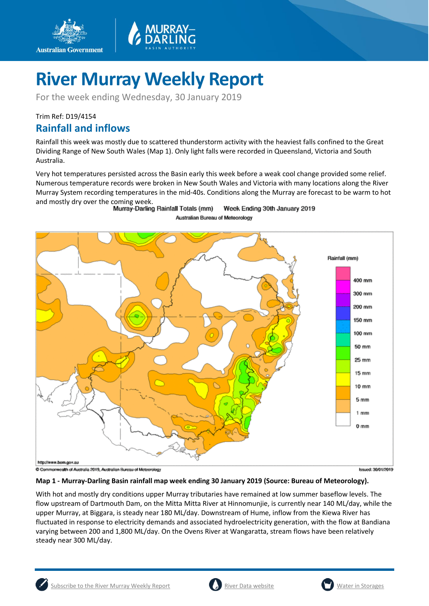

For the week ending Wednesday, 30 January 2019

### Trim Ref: D19/4154 **Rainfall and inflows**

Rainfall this week was mostly due to scattered thunderstorm activity with the heaviest falls confined to the Great Dividing Range of New South Wales (Map 1). Only light falls were recorded in Queensland, Victoria and South Australia.

Very hot temperatures persisted across the Basin early this week before a weak cool change provided some relief. Numerous temperature records were broken in New South Wales and Victoria with many locations along the River Murray System recording temperatures in the mid-40s. Conditions along the Murray are forecast to be warm to hot and mostly dry over the coming week.<br>Murray-Darling Rainfall Totals (mm)

Week Ending 30th January 2019 Australian Bureau of Meteorology



#### **Map 1 - Murray-Darling Basin rainfall map week ending 30 January 2019 (Source: Bureau of Meteorology).**

With hot and mostly dry conditions upper Murray tributaries have remained at low summer baseflow levels. The flow upstream of Dartmouth Dam, on the Mitta Mitta River at Hinnomunjie, is currently near 140 ML/day, while the upper Murray, at Biggara, is steady near 180 ML/day. Downstream of Hume, inflow from the Kiewa River has fluctuated in response to electricity demands and associated hydroelectricity generation, with the flow at Bandiana varying between 200 and 1,800 ML/day. On the Ovens River at Wangaratta, stream flows have been relatively steady near 300 ML/day.



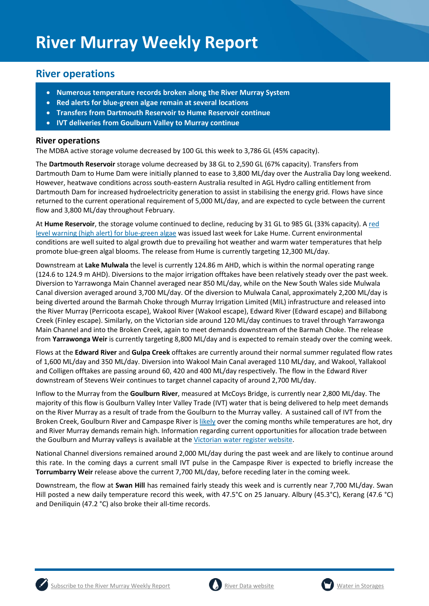### **River operations**

- **Numerous temperature records broken along the River Murray System**
- **Red alerts for blue-green algae remain at several locations**
- **Transfers from Dartmouth Reservoir to Hume Reservoir continue**
- **IVT deliveries from Goulburn Valley to Murray continue**

### **River operations**

The MDBA active storage volume decreased by 100 GL this week to 3,786 GL (45% capacity).

The **Dartmouth Reservoir** storage volume decreased by 38 GL to 2,590 GL (67% capacity). Transfers from Dartmouth Dam to Hume Dam were initially planned to ease to 3,800 ML/day over the Australia Day long weekend. However, heatwave conditions across south-eastern Australia resulted in AGL Hydro calling entitlement from Dartmouth Dam for increased hydroelectricity generation to assist in stabilising the energy grid. Flows have since returned to the current operational requirement of 5,000 ML/day, and are expected to cycle between the current flow and 3,800 ML/day throughout February.

At **Hume Reservoir**, the storage volume continued to decline, reducing by 31 GL to 985 GL (33% capacity). [A red](https://www.waternsw.com.au/about/newsroom/2019/algal-red-alert-issued-for-lake-hume)  [level warning \(high alert\) for blue-green algae](https://www.waternsw.com.au/about/newsroom/2019/algal-red-alert-issued-for-lake-hume) was issued last week for Lake Hume. Current environmental conditions are well suited to algal growth due to prevailing hot weather and warm water temperatures that help promote blue-green algal blooms. The release from Hume is currently targeting 12,300 ML/day.

Downstream at **Lake Mulwala** the level is currently 124.86 m AHD, which is within the normal operating range (124.6 to 124.9 m AHD). Diversions to the major irrigation offtakes have been relatively steady over the past week. Diversion to Yarrawonga Main Channel averaged near 850 ML/day, while on the New South Wales side Mulwala Canal diversion averaged around 3,700 ML/day. Of the diversion to Mulwala Canal, approximately 2,200 ML/day is being diverted around the Barmah Choke through Murray Irrigation Limited (MIL) infrastructure and released into the River Murray (Perricoota escape), Wakool River (Wakool escape), Edward River (Edward escape) and Billabong Creek (Finley escape). Similarly, on the Victorian side around 120 ML/day continues to travel through Yarrawonga Main Channel and into the Broken Creek, again to meet demands downstream of the Barmah Choke. The release from **Yarrawonga Weir** is currently targeting 8,800 ML/day and is expected to remain steady over the coming week.

Flows at the **Edward River** and **Gulpa Creek** offtakes are currently around their normal summer regulated flow rates of 1,600 ML/day and 350 ML/day. Diversion into Wakool Main Canal averaged 110 ML/day, and Wakool, Yallakool and Colligen offtakes are passing around 60, 420 and 400 ML/day respectively. The flow in the Edward River downstream of Stevens Weir continues to target channel capacity of around 2,700 ML/day.

Inflow to the Murray from the **Goulburn River**, measured at McCoys Bridge, is currently near 2,800 ML/day. The majority of this flow is Goulburn Valley Inter Valley Trade (IVT) water that is being delivered to help meet demands on the River Murray as a result of trade from the Goulburn to the Murray valley. A sustained call of IVT from the Broken Creek, Goulburn River and Campaspe River is [likely](https://www.g-mwater.com.au/water-resources/managing-water-storages) over the coming months while temperatures are hot, dry and River Murray demands remain high. Information regarding current opportunities for allocation trade between the Goulburn and Murray valleys is available at the [Victorian water register website.](http://waterregister.vic.gov.au/water-trading/allocation-trading#AllocationTradeOpportunities)

National Channel diversions remained around 2,000 ML/day during the past week and are likely to continue around this rate. In the coming days a current small IVT pulse in the Campaspe River is expected to briefly increase the **Torrumbarry Weir** release above the current 7,700 ML/day, before receding later in the coming week.

Downstream, the flow at **Swan Hill** has remained fairly steady this week and is currently near 7,700 ML/day. Swan Hill posted a new daily temperature record this week, with 47.5°C on 25 January. Albury (45.3°C), Kerang (47.6 °C) and Deniliquin (47.2 °C) also broke their all-time records.



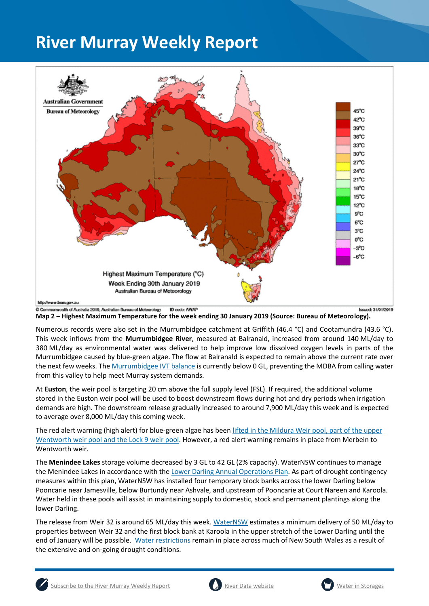

**Map 2 – Highest Maximum Temperature for the week ending 30 January 2019 (Source: Bureau of Meteorology).** 

Numerous records were also set in the Murrumbidgee catchment at Griffith (46.4 °C) and Cootamundra (43.6 °C). This week inflows from the **Murrumbidgee River**, measured at Balranald, increased from around 140 ML/day to 380 ML/day as environmental water was delivered to help improve low dissolved oxygen levels in parts of the Murrumbidgee caused by blue-green algae. The flow at Balranald is expected to remain above the current rate over the next few weeks. The [Murrumbidgee IVT balance](http://www.waternsw.com.au/customer-service/ordering-trading-and-pricing/trading/murrumbidgee) is currently below 0 GL, preventing the MDBA from calling water from this valley to help meet Murray system demands.

At **Euston**, the weir pool is targeting 20 cm above the full supply level (FSL). If required, the additional volume stored in the Euston weir pool will be used to boost downstream flows during hot and dry periods when irrigation demands are high. The downstream release gradually increased to around 7,900 ML/day this week and is expected to average over 8,000 ML/day this coming week.

The red alert warning (high alert) for blue-green algae has bee[n lifted in the Mildura Weir pool, part of the upper](https://www.waternsw.com.au/about/newsroom/2019/red-alert-warnings-lifted-for-the-mildura-weir-pool,-sections-of-the-wentworth-weir-pool-and-the-lock-9-weir-pool-in-the-lower-murray-river.)  [Wentworth weir pool and the Lock 9 weir pool.](https://www.waternsw.com.au/about/newsroom/2019/red-alert-warnings-lifted-for-the-mildura-weir-pool,-sections-of-the-wentworth-weir-pool-and-the-lock-9-weir-pool-in-the-lower-murray-river.) However, a red alert warning remains in place from Merbein to Wentworth weir.

The **Menindee Lakes** storage volume decreased by 3 GL to 42 GL (2% capacity). WaterNSW continues to manage the Menindee Lakes in accordance with th[e Lower Darling Annual Operations Plan.](https://www.waternsw.com.au/supply/regional-nsw/operations) As part of drought contingency measures within this plan, WaterNSW has installed four temporary block banks across the lower Darling below Pooncarie near Jamesville, below Burtundy near Ashvale, and upstream of Pooncarie at Court Nareen and Karoola. Water held in these pools will assist in maintaining supply to domestic, stock and permanent plantings along the lower Darling.

The release from Weir 32 is around 65 ML/day this week. [WaterNSW](https://www.waternsw.com.au/about/newsroom/2019/pipeline-progress-leads-to-extension-of-weir-32-releases) estimates a minimum delivery of 50 ML/day to properties between Weir 32 and the first block bank at Karoola in the upper stretch of the Lower Darling until the end of January will be possible. [Water restrictions](https://www.waternsw.com.au/about/newsroom/2018/waternsw-confirms-restrictions-for-lower-darling-customers) remain in place across much of New South Wales as a result of the extensive and on-going drought conditions.



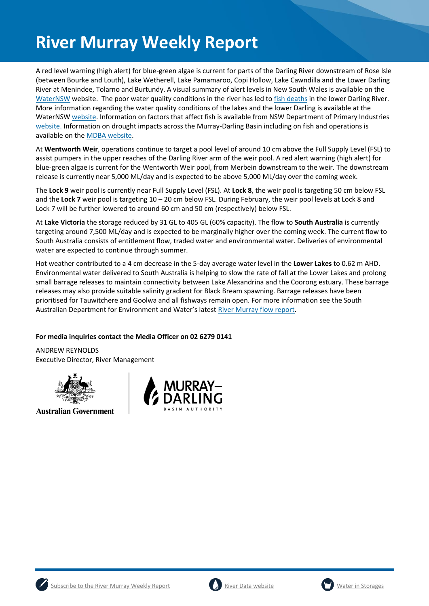A red level warning (high alert) for blue-green algae is current for parts of the Darling River downstream of Rose Isle (between Bourke and Louth), Lake Wetherell, Lake Pamamaroo, Copi Hollow, Lake Cawndilla and the Lower Darling River at Menindee, Tolarno and Burtundy. A visual summary of alert levels in New South Wales is available on the [WaterNSW](https://www.waternsw.com.au/water-quality/algae) website. The poor water quality conditions in the river has led t[o fish deaths](https://www.dpi.nsw.gov.au/about-us/media-centre/releases/2019/nsw-fish-deaths-update) in the lower Darling River. More information regarding the water quality conditions of the lakes and the lower Darling is available at the WaterNSW [website.](https://www.waternsw.com.au/about/newsroom?queries_type_query=algal-alerts&search_page_111944_submit_button=Submit¤t_result_page=1&results_per_page=0&submitted_search_category=&mode=) Information on factors that affect fish is available from NSW Department of Primary Industries [website.](https://www.dpi.nsw.gov.au/fishing/habitat/threats/fish-kills) Information on drought impacts across the Murray-Darling Basin including on fish and operations is available on the [MDBA website.](https://www.mdba.gov.au/managing-water/drought-murray-darling-basin)

At **Wentworth Weir**, operations continue to target a pool level of around 10 cm above the Full Supply Level (FSL) to assist pumpers in the upper reaches of the Darling River arm of the weir pool. A red alert warning (high alert) for blue-green algae is current for the Wentworth Weir pool, from Merbein downstream to the weir. The downstream release is currently near 5,000 ML/day and is expected to be above 5,000 ML/day over the coming week.

The **Lock 9** weir pool is currently near Full Supply Level (FSL). At **Lock 8**, the weir pool is targeting 50 cm below FSL and the **Lock 7** weir pool is targeting 10 – 20 cm below FSL. During February, the weir pool levels at Lock 8 and Lock 7 will be further lowered to around 60 cm and 50 cm (respectively) below FSL.

At **Lake Victoria** the storage reduced by 31 GL to 405 GL (60% capacity). The flow to **South Australia** is currently targeting around 7,500 ML/day and is expected to be marginally higher over the coming week. The current flow to South Australia consists of entitlement flow, traded water and environmental water. Deliveries of environmental water are expected to continue through summer.

Hot weather contributed to a 4 cm decrease in the 5-day average water level in the **Lower Lakes** to 0.62 m AHD. Environmental water delivered to South Australia is helping to slow the rate of fall at the Lower Lakes and prolong small barrage releases to maintain connectivity between Lake Alexandrina and the Coorong estuary. These barrage releases may also provide suitable salinity gradient for Black Bream spawning. Barrage releases have been prioritised for Tauwitchere and Goolwa and all fishways remain open. For more information see the South Australian Department for Environment and Water's latest [River Murray flow report.](https://www.waterconnect.sa.gov.au/River-Murray/SitePages/2018%20Flow%20Reports.aspx)

### **For media inquiries contact the Media Officer on 02 6279 0141**

ANDREW REYNOLDS Executive Director, River Management



**Australian Government** 







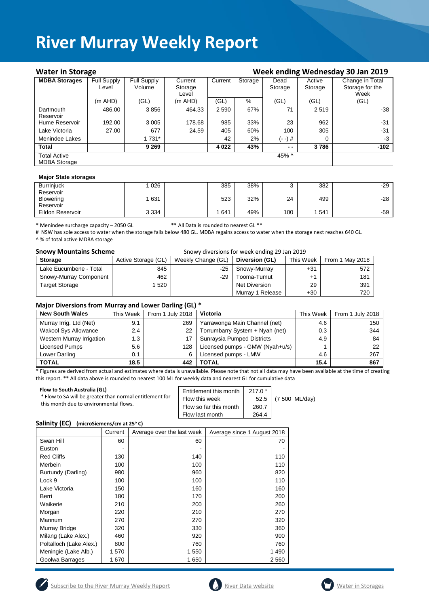| <b>Water in Storage</b>                    |                    |                    |              |         |         | Week ending Wednesday 30 Jan 2019 |         |                 |
|--------------------------------------------|--------------------|--------------------|--------------|---------|---------|-----------------------------------|---------|-----------------|
| <b>MDBA Storages</b>                       | <b>Full Supply</b> | <b>Full Supply</b> | Current      | Current | Storage | Dead                              | Active  | Change in Total |
|                                            | Level              | Volume             | Storage      |         |         | Storage                           | Storage | Storage for the |
|                                            |                    |                    | Level        |         |         |                                   |         | Week            |
|                                            | (m AHD)            | (GL)               | $(m$ AHD $)$ | (GL)    | $\%$    | (GL)                              | (GL)    | (GL)            |
| Dartmouth                                  | 486.00             | 3856               | 464.33       | 2 5 9 0 | 67%     | 71                                | 2519    | -38             |
| Reservoir                                  |                    |                    |              |         |         |                                   |         |                 |
| Hume Reservoir                             | 192.00             | 3 0 0 5            | 178.68       | 985     | 33%     | 23                                | 962     | -31             |
| Lake Victoria                              | 27.00              | 677                | 24.59        | 405     | 60%     | 100                               | 305     | -31             |
| Menindee Lakes                             |                    | 1 7 3 1 *          |              | 42      | 2%      | (- -) #                           | 0       | -3              |
| <b>Total</b>                               |                    | 9 2 6 9            |              | 4 0 2 2 | 43%     | $ -$                              | 3786    | -102            |
| <b>Total Active</b><br><b>MDBA Storage</b> |                    |                    |              |         |         | 45% ^                             |         |                 |
|                                            |                    |                    |              |         |         |                                   |         |                 |

#### **Major State storages**

| <b>Burrinjuck</b> | 026     | 385 | 38% | ບ   | 382 | $-29$ |
|-------------------|---------|-----|-----|-----|-----|-------|
| Reservoir         |         |     |     |     |     |       |
| <b>Blowering</b>  | 631     | 523 | 32% | 24  | 499 | $-28$ |
| Reservoir         |         |     |     |     |     |       |
| Eildon Reservoir  | 3 3 3 4 | 641 | 49% | 100 | 541 | $-59$ |
|                   |         |     |     |     |     |       |

\* Menindee surcharge capacity – 2050 GL \*\* All Data is rounded to nearest GL \*\*

# NSW has sole access to water when the storage falls below 480 GL. MDBA regains access to water when the storage next reaches 640 GL.

^ % of total active MDBA storage

| <b>Snowy Mountains Scheme</b> | Snowy diversions for week ending 29 Jan 2019 |
|-------------------------------|----------------------------------------------|
|-------------------------------|----------------------------------------------|

| <b>Storage</b>         | Active Storage (GL) | Weekly Change (GL) | Diversion (GL)   | This Week | From 1 May 2018 |
|------------------------|---------------------|--------------------|------------------|-----------|-----------------|
| Lake Eucumbene - Total | 845                 | -25                | Snowy-Murray     | $+31$     | 572             |
| Snowy-Murray Component | 462                 | $-29$              | Tooma-Tumut      | $+1$      | 181             |
| Target Storage         | 520                 |                    | Net Diversion    | 29        | 391             |
|                        |                     |                    | Murray 1 Release | $+30$     | 720             |

#### **Major Diversions from Murray and Lower Darling (GL) \***

| <b>New South Wales</b>      | This Week     | From 1 July 2018 | Victoria                        | This Week | From 1 July 2018 |
|-----------------------------|---------------|------------------|---------------------------------|-----------|------------------|
| Murray Irrig. Ltd (Net)     | 9.1           | 269              | Yarrawonga Main Channel (net)   | 4.6       | 150              |
| <b>Wakool Sys Allowance</b> | $2.4^{\circ}$ | 22               | Torrumbarry System + Nyah (net) | 0.3       | 344              |
| Western Murray Irrigation   | 1.3           |                  | Sunraysia Pumped Districts      | 4.9       | 84               |
| Licensed Pumps              | 5.6           | 128              | Licensed pumps - GMW (Nyah+u/s) |           | 22               |
| Lower Darling               | 0.1           | 6                | Licensed pumps - LMW            | 4.6       | 267              |
| <b>TOTAL</b>                | 18.5          | 442              | <b>TOTAL</b>                    | 15.4      | 867              |

\* Figures are derived from actual and estimates where data is unavailable. Please note that not all data may have been available at the time of creating this report. \*\* All data above is rounded to nearest 100 ML for weekly data and nearest GL for cumulative data

| (7 500 ML/day)                                                                                                              |
|-----------------------------------------------------------------------------------------------------------------------------|
| $217.0*$<br>Entitlement this month<br>Flow this week<br>52.5<br>Flow so far this month<br>260.7<br>Flow last month<br>264.4 |

#### **Salinity (EC) (microSiemens/cm at 25<sup>o</sup> C)**

|                         | Current | Average over the last week | Average since 1 August 2018 |
|-------------------------|---------|----------------------------|-----------------------------|
| Swan Hill               | 60      | 60                         | 70                          |
| Euston                  |         |                            |                             |
| <b>Red Cliffs</b>       | 130     | 140                        | 110                         |
| Merbein                 | 100     | 100                        | 110                         |
| Burtundy (Darling)      | 980     | 960                        | 820                         |
| Lock 9                  | 100     | 100                        | 110                         |
| Lake Victoria           | 150     | 160                        | 160                         |
| Berri                   | 180     | 170                        | 200                         |
| Waikerie                | 210     | 200                        | 260                         |
| Morgan                  | 220     | 210                        | 270                         |
| Mannum                  | 270     | 270                        | 320                         |
| Murray Bridge           | 320     | 330                        | 360                         |
| Milang (Lake Alex.)     | 460     | 920                        | 900                         |
| Poltalloch (Lake Alex.) | 800     | 760                        | 760                         |
| Meningie (Lake Alb.)    | 1570    | 1 550                      | 1 4 9 0                     |
| Goolwa Barrages         | 1670    | 1650                       | 2 5 6 0                     |





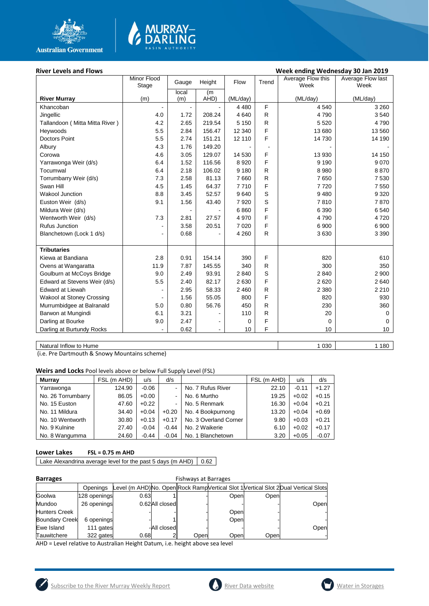



#### River Levels and Flows **River Levels and Flows Week ending Wednesday 30 Jan 2019**

|                                  | Minor Flood<br>Stage     | Gauge          | Height         | Flow     | Trend        | Average Flow this<br>Week | Average Flow last<br>Week |
|----------------------------------|--------------------------|----------------|----------------|----------|--------------|---------------------------|---------------------------|
|                                  |                          | local          | (m             |          |              |                           |                           |
| <b>River Murray</b>              | (m)                      | (m)            | AHD)           | (ML/day) |              | (ML/day)                  | (ML/day)                  |
| Khancoban                        |                          |                |                | 4 4 8 0  | F            | 4 5 4 0                   | 3 2 6 0                   |
| Jingellic                        | 4.0                      | 1.72           | 208.24         | 4 6 4 0  | R            | 4790                      | 3540                      |
| Tallandoon ( Mitta Mitta River ) | 4.2                      | 2.65           | 219.54         | 5 1 5 0  | $\mathsf{R}$ | 5 5 20                    | 4790                      |
| Heywoods                         | 5.5                      | 2.84           | 156.47         | 12 340   | F            | 13 680                    | 13 560                    |
| <b>Doctors Point</b>             | 5.5                      | 2.74           | 151.21         | 12 110   | F            | 14 730                    | 14 190                    |
| Albury                           | 4.3                      | 1.76           | 149.20         |          |              |                           |                           |
| Corowa                           | 4.6                      | 3.05           | 129.07         | 14 530   | F            | 13 930                    | 14 150                    |
| Yarrawonga Weir (d/s)            | 6.4                      | 1.52           | 116.56         | 8920     | F            | 9 1 9 0                   | 9 0 7 0                   |
| Tocumwal                         | 6.4                      | 2.18           | 106.02         | 9 1 8 0  | R            | 8 9 8 0                   | 8870                      |
| Torrumbarry Weir (d/s)           | 7.3                      | 2.58           | 81.13          | 7 6 6 0  | R            | 7650                      | 7 5 3 0                   |
| Swan Hill                        | 4.5                      | 1.45           | 64.37          | 7710     | F            | 7720                      | 7 5 5 0                   |
| <b>Wakool Junction</b>           | 8.8                      | 3.45           | 52.57          | 9640     | S            | 9 4 8 0                   | 9 3 2 0                   |
| Euston Weir (d/s)                | 9.1                      | 1.56           | 43.40          | 7920     | S            | 7810                      | 7870                      |
| Mildura Weir (d/s)               |                          | $\blacksquare$ |                | 6860     | F            | 6 3 9 0                   | 6 5 4 0                   |
| Wentworth Weir (d/s)             | 7.3                      | 2.81           | 27.57          | 4 9 7 0  | F            | 4790                      | 4720                      |
| Rufus Junction                   | $\overline{a}$           | 3.58           | 20.51          | 7 0 2 0  | F            | 6 900                     | 6 900                     |
| Blanchetown (Lock 1 d/s)         | $\overline{\phantom{a}}$ | 0.68           |                | 4 2 6 0  | $\mathsf{R}$ | 3630                      | 3 3 9 0                   |
|                                  |                          |                |                |          |              |                           |                           |
| <b>Tributaries</b>               |                          |                |                |          |              |                           |                           |
| Kiewa at Bandiana                | 2.8                      | 0.91           | 154.14         | 390      | F            | 820                       | 610                       |
| Ovens at Wangaratta              | 11.9                     | 7.87           | 145.55         | 340      | R            | 300                       | 350                       |
| Goulburn at McCoys Bridge        | 9.0                      | 2.49           | 93.91          | 2840     | S            | 2840                      | 2 9 0 0                   |
| Edward at Stevens Weir (d/s)     | 5.5                      | 2.40           | 82.17          | 2630     | F            | 2620                      | 2640                      |
| Edward at Liewah                 |                          | 2.95           | 58.33          | 2 4 6 0  | R            | 2 3 8 0                   | 2 2 1 0                   |
| <b>Wakool at Stoney Crossing</b> |                          | 1.56           | 55.05          | 800      | F            | 820                       | 930                       |
| Murrumbidgee at Balranald        | 5.0                      | 0.80           | 56.76          | 450      | R            | 230                       | 360                       |
| Barwon at Mungindi               | 6.1                      | 3.21           |                | 110      | R            | 20                        | $\Omega$                  |
| Darling at Bourke                | 9.0                      | 2.47           | ۰              | 0        | F            | 0                         | $\Omega$                  |
| Darling at Burtundy Rocks        |                          | 0.62           | $\blacksquare$ | 10       | F            | 10                        | 10                        |
|                                  |                          |                |                |          |              |                           |                           |

Natural Inflow to Hume 1 030 1 180

(i.e. Pre Dartmouth & Snowy Mountains scheme)

**Weirs and Locks** Pool levels above or below Full Supply Level (FSL)

| <b>Murrav</b>      | FSL (m AHD) | u/s     | d/s            |                       | FSL (m AHD) | u/s     | d/s     |
|--------------------|-------------|---------|----------------|-----------------------|-------------|---------|---------|
| Yarrawonga         | 124.90      | $-0.06$ |                | No. 7 Rufus River     | 22.10       | $-0.11$ | $+1.27$ |
| No. 26 Torrumbarry | 86.05       | $+0.00$ | $\blacksquare$ | No. 6 Murtho          | 19.25       | $+0.02$ | $+0.15$ |
| No. 15 Euston      | 47.60       | $+0.22$ | $\blacksquare$ | No. 5 Renmark         | 16.30       | $+0.04$ | $+0.21$ |
| No. 11 Mildura     | 34.40       | $+0.04$ | $+0.20$        | No. 4 Bookpurnong     | 13.20       | $+0.04$ | $+0.69$ |
| No. 10 Wentworth   | 30.80       | $+0.13$ | $+0.17$        | No. 3 Overland Corner | 9.80        | $+0.03$ | $+0.21$ |
| No. 9 Kulnine      | 27.40       | $-0.04$ | $-0.44$        | No. 2 Waikerie        | 6.10        | $+0.02$ | $+0.17$ |
| No. 8 Wangumma     | 24.60       | $-0.44$ | $-0.04$        | No. 1 Blanchetown     | 3.20        | $+0.05$ | $-0.07$ |

#### **Lower Lakes FSL = 0.75 m AHD**

Lake Alexandrina average level for the past 5 days (m AHD)  $\Big| 0.62 \Big|$ 

| <b>Barrages</b>       |              | Fishways at Barrages |                |      |      |      |                                                                                     |  |  |  |
|-----------------------|--------------|----------------------|----------------|------|------|------|-------------------------------------------------------------------------------------|--|--|--|
|                       | Openings     |                      |                |      |      |      | Level (m AHD)No. Open Rock Ramp Vertical Slot 1 Vertical Slot 2 Dual Vertical Slots |  |  |  |
| Goolwa                | 128 openings | 0.63                 |                |      | Open | Open |                                                                                     |  |  |  |
| Mundoo                | 26 openings  |                      | 0.62All closed |      |      |      | Open                                                                                |  |  |  |
| <b>Hunters Creek</b>  |              |                      |                |      | Open |      |                                                                                     |  |  |  |
| <b>Boundary Creek</b> | 6 openings   |                      |                |      | Open |      |                                                                                     |  |  |  |
| Ewe Island            | 111 gates    |                      | -All closedl   |      |      |      | Open                                                                                |  |  |  |
| Tauwitchere           | 322 gates    | 0.68                 |                | Open | Open | Open |                                                                                     |  |  |  |

AHD = Level relative to Australian Height Datum, i.e. height above sea level